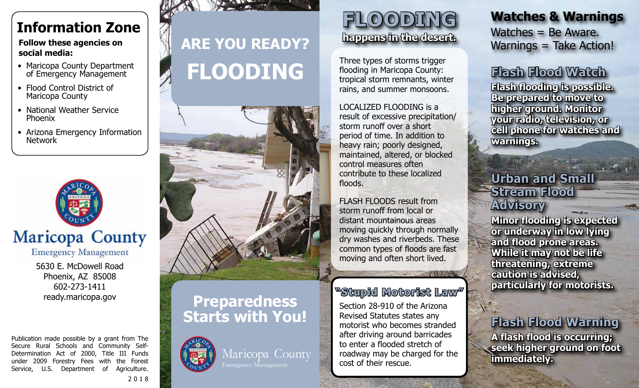## **Information Zone**

#### **Follow these agencies on social media:**

- Maricopa County Department of Emergency Management
- Flood Control District of Maricopa County
- National Weather Service Phoenix
- Arizona Emergency Information Network



**Emergency Management** 

5630 E. McDowell Road Phoenix, AZ 85008 602-273-1411 ready.maricopa.gov

Publication made possible by a grant from The Secure Rural Schools and Community Self-Determination Act of 2000, Title III Funds under 2009 Forestry Fees with the Forest Service, U.S. Department of Agriculture.

# **ARE YOU READY? FLOODING**



## **Preparedness Starts with You!**



Maricopa County Emergency Management

# **happens in the desert. FLOODING**

Three types of storms trigger flooding in Maricopa County: tropical storm remnants, winter rains, and summer monsoons.

LOCALIZED FLOODING is a result of excessive precipitation/ storm runoff over a short period of time. In addition to heavy rain; poorly designed, maintained, altered, or blocked control measures often contribute to these localized floods.

FLASH FLOODS result from storm runoff from local or distant mountainous areas moving quickly through normally dry washes and riverbeds. These common types of floods are fast moving and often short lived.

#### **"Stupid Motorist Law"**

**CONTRACTOR** IN ACTION

Section 28-910 of the Arizona Revised Statutes states any motorist who becomes stranded after driving around barricades to enter a flooded stretch of roadway may be charged for the cost of their rescue.

# **Watches & Warnings**

Watches = Be Aware. Warnings = Take Action!

# **Flash Flood Watch**

**Flash flooding is possible. Be prepared to move to higher ground. Monitor your radio, television, or cell phone for watches and warnings.**

### **Urban and Small Stream Flood Advisory**

**Minor flooding is expected or underway in low lying and flood prone areas. While it may not be life threatening, extreme caution is advised, particularly for motorists.** 

#### **A flash flood is occurring; seek higher ground on foot Flash Flood Warning**

**immediately.**